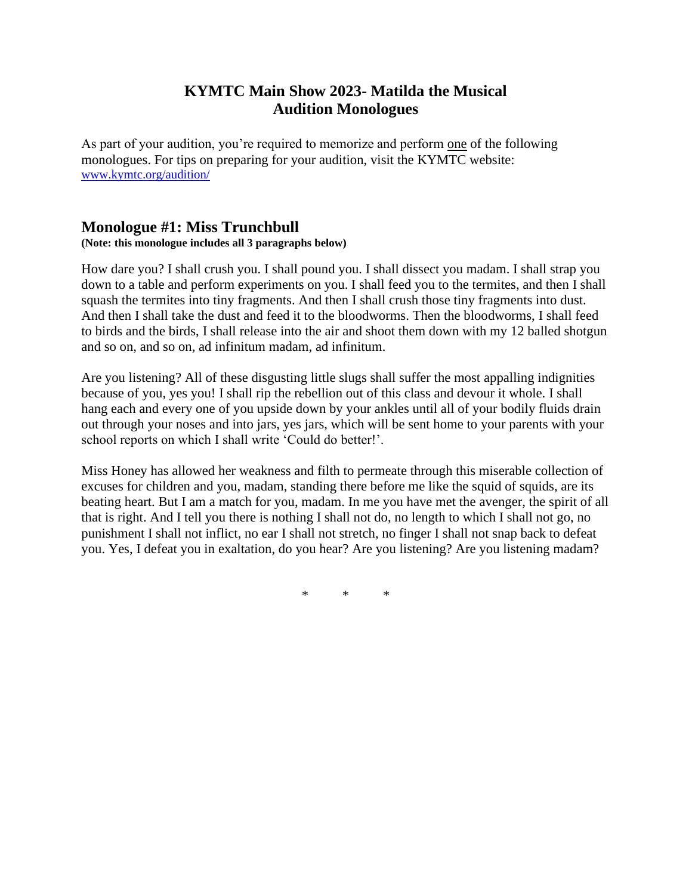## **KYMTC Main Show 2023- Matilda the Musical Audition Monologues**

As part of your audition, you're required to memorize and perform one of the following monologues. For tips on preparing for your audition, visit the KYMTC website: [www.kymtc.org/audition/](http://www.kymtc.org/audition/)

## **Monologue #1: Miss Trunchbull**

**(Note: this monologue includes all 3 paragraphs below)**

How dare you? I shall crush you. I shall pound you. I shall dissect you madam. I shall strap you down to a table and perform experiments on you. I shall feed you to the termites, and then I shall squash the termites into tiny fragments. And then I shall crush those tiny fragments into dust. And then I shall take the dust and feed it to the bloodworms. Then the bloodworms, I shall feed to birds and the birds, I shall release into the air and shoot them down with my 12 balled shotgun and so on, and so on, ad infinitum madam, ad infinitum.

Are you listening? All of these disgusting little slugs shall suffer the most appalling indignities because of you, yes you! I shall rip the rebellion out of this class and devour it whole. I shall hang each and every one of you upside down by your ankles until all of your bodily fluids drain out through your noses and into jars, yes jars, which will be sent home to your parents with your school reports on which I shall write 'Could do better!'.

Miss Honey has allowed her weakness and filth to permeate through this miserable collection of excuses for children and you, madam, standing there before me like the squid of squids, are its beating heart. But I am a match for you, madam. In me you have met the avenger, the spirit of all that is right. And I tell you there is nothing I shall not do, no length to which I shall not go, no punishment I shall not inflict, no ear I shall not stretch, no finger I shall not snap back to defeat you. Yes, I defeat you in exaltation, do you hear? Are you listening? Are you listening madam?

\* \* \*